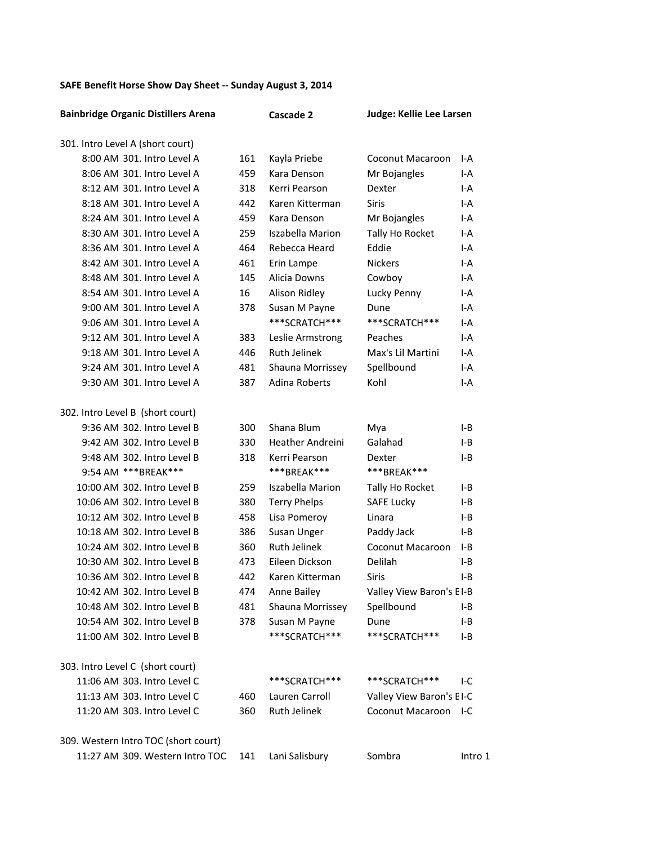## SAFE Benefit Horse Show Day Sheet -- Sunday August 3, 2014

| <b>Bainbridge Organic Distillers Arena</b> |     | Cascade 2               | Judge: Kellie Lee Larsen |         |
|--------------------------------------------|-----|-------------------------|--------------------------|---------|
| 301. Intro Level A (short court)           |     |                         |                          |         |
| 8:00 AM 301. Intro Level A                 | 161 | Kayla Priebe            | Coconut Macaroon         | I-A     |
| 8:06 AM 301. Intro Level A                 | 459 | Kara Denson             | Mr Bojangles             | I-A     |
| 8:12 AM 301. Intro Level A                 | 318 | Kerri Pearson           | Dexter                   | I-A     |
| 8:18 AM 301. Intro Level A                 | 442 | Karen Kitterman         | <b>Siris</b>             | I-A     |
| 8:24 AM 301. Intro Level A                 | 459 | Kara Denson             | Mr Bojangles             | I-A     |
| 8:30 AM 301. Intro Level A                 | 259 | <b>Iszabella Marion</b> | Tally Ho Rocket          | I-A     |
| 8:36 AM 301. Intro Level A                 | 464 | Rebecca Heard           | Eddie                    | I-A     |
| 8:42 AM 301. Intro Level A                 | 461 | Erin Lampe              | <b>Nickers</b>           | I-A     |
| 8:48 AM 301. Intro Level A                 | 145 | Alicia Downs            | Cowboy                   | I-A     |
| 8:54 AM 301. Intro Level A                 | 16  | Alison Ridley           | Lucky Penny              | I-A     |
| 9:00 AM 301. Intro Level A                 | 378 | Susan M Payne           | Dune                     | I-A     |
| 9:06 AM 301. Intro Level A                 |     | ***SCRATCH***           | ***SCRATCH***            | I-A     |
| 9:12 AM 301. Intro Level A                 | 383 | Leslie Armstrong        | Peaches                  | I-A     |
| 9:18 AM 301. Intro Level A                 | 446 | <b>Ruth Jelinek</b>     | Max's Lil Martini        | I-A     |
| 9:24 AM 301. Intro Level A                 | 481 | Shauna Morrissey        | Spellbound               | I-A     |
| 9:30 AM 301. Intro Level A                 | 387 | Adina Roberts           | Kohl                     | I-A     |
| 302. Intro Level B (short court)           |     |                         |                          |         |
| 9:36 AM 302. Intro Level B                 | 300 | Shana Blum              | Mya                      | I-B     |
| 9:42 AM 302. Intro Level B                 | 330 | <b>Heather Andreini</b> | Galahad                  | I-B     |
| 9:48 AM 302. Intro Level B                 | 318 | Kerri Pearson           | Dexter                   | I-B     |
| 9:54 AM *** BREAK***                       |     | ***BREAK***             | ***BREAK***              |         |
| 10:00 AM 302. Intro Level B                | 259 | <b>Iszabella Marion</b> | Tally Ho Rocket          | I-B     |
| 10:06 AM 302. Intro Level B                | 380 | <b>Terry Phelps</b>     | <b>SAFE Lucky</b>        | I-B     |
| 10:12 AM 302. Intro Level B                | 458 | Lisa Pomeroy            | Linara                   | I-B     |
| 10:18 AM 302. Intro Level B                | 386 | Susan Unger             | Paddy Jack               | I-B     |
| 10:24 AM 302. Intro Level B                | 360 | <b>Ruth Jelinek</b>     | Coconut Macaroon         | I-B     |
| 10:30 AM 302. Intro Level B                | 473 | Eileen Dickson          | Delilah                  | I-B     |
| 10:36 AM 302. Intro Level B                | 442 | Karen Kitterman         | Siris                    | I-B     |
| 10:42 AM 302. Intro Level B                | 474 | Anne Bailey             | Valley View Baron's EI-B |         |
| 10:48 AM 302. Intro Level B                | 481 | Shauna Morrissey        | Spellbound               | I-B     |
| 10:54 AM 302. Intro Level B                | 378 | Susan M Payne           | Dune                     | I-B     |
| 11:00 AM 302. Intro Level B                |     | ***SCRATCH***           | ***SCRATCH***            | I-B     |
| 303. Intro Level C (short court)           |     |                         |                          |         |
| 11:06 AM 303. Intro Level C                |     | ***SCRATCH***           | ***SCRATCH***            | I-C     |
| 11:13 AM 303. Intro Level C                | 460 | Lauren Carroll          | Valley View Baron's EI-C |         |
| 11:20 AM 303. Intro Level C                | 360 | Ruth Jelinek            | Coconut Macaroon I-C     |         |
| 309. Western Intro TOC (short court)       |     |                         |                          |         |
| 11:27 AM 309. Western Intro TOC            | 141 | Lani Salisbury          | Sombra                   | Intro 1 |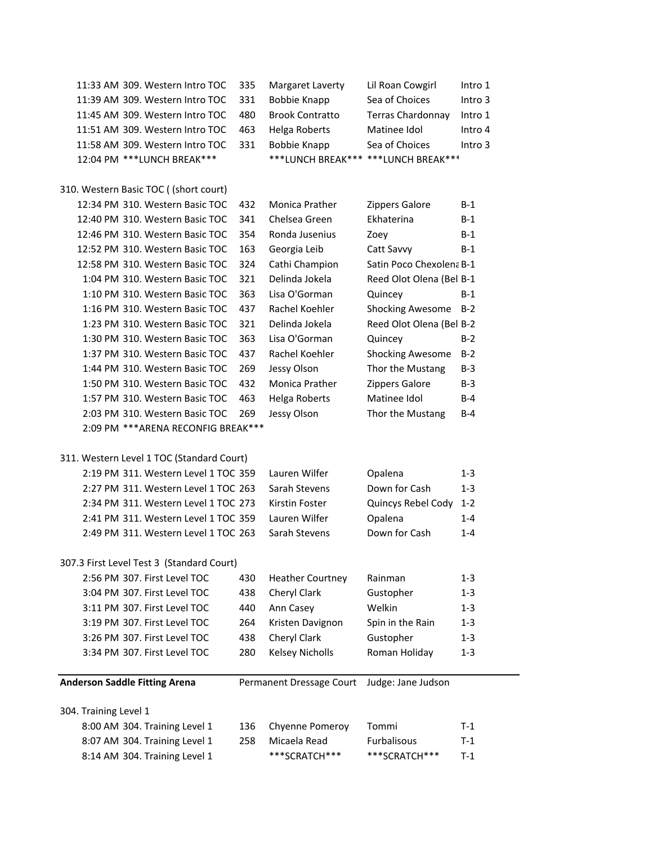| 11:33 AM 309. Western Intro TOC           | 335 | Margaret Laverty                    | Lil Roan Cowgirl         | Intro 1 |
|-------------------------------------------|-----|-------------------------------------|--------------------------|---------|
| 11:39 AM 309. Western Intro TOC           | 331 | <b>Bobbie Knapp</b>                 | Sea of Choices           | Intro 3 |
| 11:45 AM 309. Western Intro TOC           | 480 | <b>Brook Contratto</b>              | Terras Chardonnay        | Intro 1 |
| 11:51 AM 309. Western Intro TOC           | 463 | Helga Roberts                       | Matinee Idol             | Intro 4 |
| 11:58 AM 309. Western Intro TOC           | 331 | <b>Bobbie Knapp</b>                 | Sea of Choices           | Intro 3 |
| 12:04 PM *** LUNCH BREAK***               |     | ***LUNCH BREAK*** ***LUNCH BREAK*** |                          |         |
|                                           |     |                                     |                          |         |
| 310. Western Basic TOC ((short court)     |     |                                     |                          |         |
| 12:34 PM 310. Western Basic TOC           | 432 | Monica Prather                      | <b>Zippers Galore</b>    | $B-1$   |
| 12:40 PM 310. Western Basic TOC           | 341 | Chelsea Green                       | Ekhaterina               | B-1     |
| 12:46 PM 310. Western Basic TOC           | 354 | Ronda Jusenius                      | Zoey                     | $B-1$   |
| 12:52 PM 310. Western Basic TOC           | 163 | Georgia Leib                        | Catt Savvy               | $B-1$   |
| 12:58 PM 310. Western Basic TOC           | 324 | Cathi Champion                      | Satin Poco Chexolena B-1 |         |
| 1:04 PM 310. Western Basic TOC            | 321 | Delinda Jokela                      | Reed Olot Olena (Bel B-1 |         |
| 1:10 PM 310. Western Basic TOC            | 363 | Lisa O'Gorman                       | Quincey                  | $B-1$   |
| 1:16 PM 310. Western Basic TOC            | 437 | Rachel Koehler                      | <b>Shocking Awesome</b>  | $B-2$   |
| 1:23 PM 310. Western Basic TOC            | 321 | Delinda Jokela                      | Reed Olot Olena (Bel B-2 |         |
| 1:30 PM 310. Western Basic TOC            | 363 | Lisa O'Gorman                       | Quincey                  | $B-2$   |
| 1:37 PM 310. Western Basic TOC            | 437 | Rachel Koehler                      | <b>Shocking Awesome</b>  | $B-2$   |
| 1:44 PM 310. Western Basic TOC            | 269 | Jessy Olson                         | Thor the Mustang         | $B-3$   |
| 1:50 PM 310. Western Basic TOC            | 432 | <b>Monica Prather</b>               | Zippers Galore           | $B-3$   |
| 1:57 PM 310. Western Basic TOC            | 463 | Helga Roberts                       | Matinee Idol             | $B-4$   |
| 2:03 PM 310. Western Basic TOC            | 269 | Jessy Olson                         | Thor the Mustang         | $B-4$   |
| 2:09 PM *** ARENA RECONFIG BREAK***       |     |                                     |                          |         |
|                                           |     |                                     |                          |         |
| 311. Western Level 1 TOC (Standard Court) |     |                                     |                          |         |
| 2:19 PM 311. Western Level 1 TOC 359      |     | Lauren Wilfer                       | Opalena                  | 1-3     |
| 2:27 PM 311. Western Level 1 TOC 263      |     | Sarah Stevens                       | Down for Cash            | $1 - 3$ |
| 2:34 PM 311. Western Level 1 TOC 273      |     | Kirstin Foster                      | Quincys Rebel Cody       | $1 - 2$ |
| 2:41 PM 311. Western Level 1 TOC 359      |     | Lauren Wilfer                       | Opalena                  | $1 - 4$ |
| 2:49 PM 311. Western Level 1 TOC 263      |     | Sarah Stevens                       | Down for Cash            | $1 - 4$ |
|                                           |     |                                     |                          |         |
| 307.3 First Level Test 3 (Standard Court) |     |                                     |                          |         |
| 2:56 PM 307. First Level TOC              | 430 | <b>Heather Courtney</b>             | Rainman                  | $1 - 3$ |
| 3:04 PM 307. First Level TOC              | 438 | Cheryl Clark                        | Gustopher                | $1 - 3$ |
| 3:11 PM 307. First Level TOC              | 440 | Ann Casey                           | Welkin                   | $1 - 3$ |
| 3:19 PM 307. First Level TOC              | 264 | Kristen Davignon                    | Spin in the Rain         | $1 - 3$ |
| 3:26 PM 307. First Level TOC              | 438 | Cheryl Clark                        | Gustopher                | $1 - 3$ |
| 3:34 PM 307. First Level TOC              | 280 | <b>Kelsey Nicholls</b>              | Roman Holiday            | $1 - 3$ |
|                                           |     |                                     |                          |         |
| <b>Anderson Saddle Fitting Arena</b>      |     | Permanent Dressage Court            | Judge: Jane Judson       |         |
|                                           |     |                                     |                          |         |
| 304. Training Level 1                     |     |                                     |                          |         |
| 8:00 AM 304. Training Level 1             | 136 | Chyenne Pomeroy                     | Tommi                    | $T-1$   |
| 8:07 AM 304. Training Level 1             | 258 | Micaela Read                        | Furbalisous              | $T-1$   |
|                                           |     |                                     |                          |         |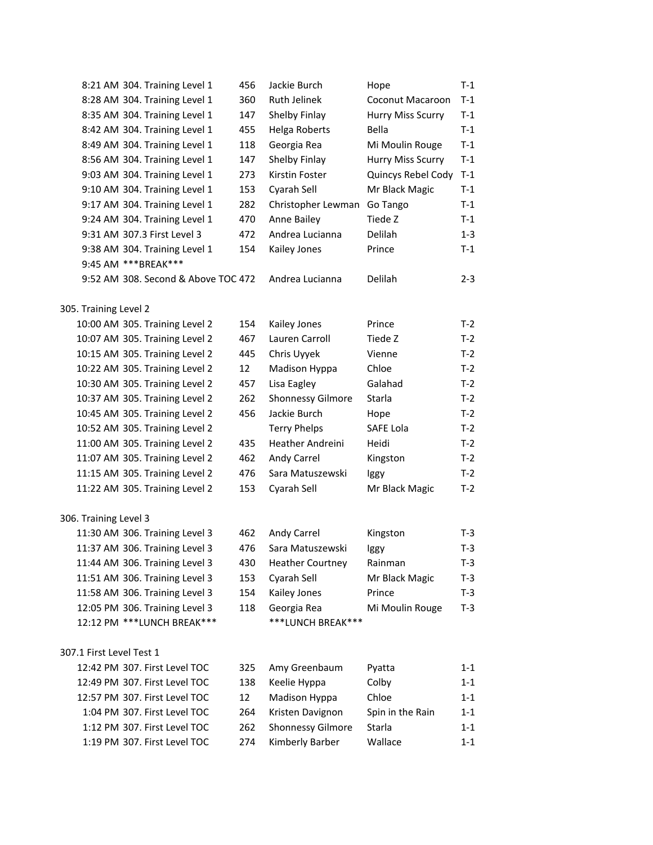|                          | 8:21 AM 304. Training Level 1       | 456               | Jackie Burch             | Hope               | $T-1$   |
|--------------------------|-------------------------------------|-------------------|--------------------------|--------------------|---------|
|                          | 8:28 AM 304. Training Level 1       | 360               | <b>Ruth Jelinek</b>      | Coconut Macaroon   | $T-1$   |
|                          | 8:35 AM 304. Training Level 1       | 147               | Shelby Finlay            | Hurry Miss Scurry  | $T-1$   |
|                          | 8:42 AM 304. Training Level 1       | 455               | Helga Roberts            | Bella              | $T-1$   |
|                          | 8:49 AM 304. Training Level 1       | 118               | Georgia Rea              | Mi Moulin Rouge    | $T-1$   |
|                          | 8:56 AM 304. Training Level 1       | 147               | Shelby Finlay            | Hurry Miss Scurry  | $T-1$   |
|                          | 9:03 AM 304. Training Level 1       | 273               | Kirstin Foster           | Quincys Rebel Cody | $T-1$   |
|                          | 9:10 AM 304. Training Level 1       | 153               | Cyarah Sell              | Mr Black Magic     | $T-1$   |
|                          | 9:17 AM 304. Training Level 1       | 282               | Christopher Lewman       | Go Tango           | $T-1$   |
|                          | 9:24 AM 304. Training Level 1       | 470               | Anne Bailey              | Tiede Z            | $T-1$   |
|                          | 9:31 AM 307.3 First Level 3         | 472               | Andrea Lucianna          | <b>Delilah</b>     | $1 - 3$ |
|                          | 9:38 AM 304. Training Level 1       | 154               | Kailey Jones             | Prince             | $T-1$   |
|                          | 9:45 AM *** BREAK***                |                   |                          |                    |         |
|                          | 9:52 AM 308. Second & Above TOC 472 |                   | Andrea Lucianna          | <b>Delilah</b>     | $2 - 3$ |
| 305. Training Level 2    |                                     |                   |                          |                    |         |
|                          | 10:00 AM 305. Training Level 2      | 154               | Kailey Jones             | Prince             | $T-2$   |
|                          | 10:07 AM 305. Training Level 2      | 467               | Lauren Carroll           | Tiede Z            | $T-2$   |
|                          | 10:15 AM 305. Training Level 2      | 445               | Chris Uyyek              | Vienne             | $T-2$   |
|                          | 10:22 AM 305. Training Level 2      | 12                | Madison Hyppa            | Chloe              | $T-2$   |
|                          | 10:30 AM 305. Training Level 2      | 457               | Lisa Eagley              | Galahad            | $T-2$   |
|                          | 10:37 AM 305. Training Level 2      | 262               | <b>Shonnessy Gilmore</b> | Starla             | $T-2$   |
|                          | 10:45 AM 305. Training Level 2      | 456               | Jackie Burch             | Hope               | $T-2$   |
|                          | 10:52 AM 305. Training Level 2      |                   | <b>Terry Phelps</b>      | SAFE Lola          | $T-2$   |
|                          | 11:00 AM 305. Training Level 2      | 435               | Heather Andreini         | <b>Heidi</b>       | $T-2$   |
|                          | 11:07 AM 305. Training Level 2      | 462               | Andy Carrel              | Kingston           | $T-2$   |
|                          | 11:15 AM 305. Training Level 2      | 476               | Sara Matuszewski         | Iggy               | $T-2$   |
|                          | 11:22 AM 305. Training Level 2      | 153               | Cyarah Sell              | Mr Black Magic     | $T-2$   |
| 306. Training Level 3    |                                     |                   |                          |                    |         |
|                          | 11:30 AM 306. Training Level 3      | 462               | Andy Carrel              | Kingston           | T-3     |
|                          | 11:37 AM 306. Training Level 3      | 476               | Sara Matuszewski         | Iggy               | $T-3$   |
|                          | 11:44 AM 306. Training Level 3      | 430               | <b>Heather Courtney</b>  | Rainman            | $T-3$   |
|                          | 11:51 AM 306. Training Level 3      | 153               | Cyarah Sell              | Mr Black Magic     | $T-3$   |
|                          | 11:58 AM 306. Training Level 3      | 154               | Kailey Jones             | Prince             | $T-3$   |
|                          | 12:05 PM 306. Training Level 3      | 118               | Georgia Rea              | Mi Moulin Rouge    | $T-3$   |
|                          | 12:12 PM *** LUNCH BREAK***         |                   | ***LUNCH BREAK***        |                    |         |
| 307.1 First Level Test 1 |                                     |                   |                          |                    |         |
|                          | 12:42 PM 307. First Level TOC       | 325               | Amy Greenbaum            | Pyatta             | $1 - 1$ |
|                          | 12:49 PM 307. First Level TOC       | 138               | Keelie Hyppa             | Colby              | $1 - 1$ |
|                          | 12:57 PM 307. First Level TOC       | $12 \overline{ }$ | Madison Hyppa            | Chloe              | $1 - 1$ |
|                          | 1:04 PM 307. First Level TOC        | 264               | Kristen Davignon         | Spin in the Rain   | $1 - 1$ |
|                          | 1:12 PM 307. First Level TOC        | 262               | Shonnessy Gilmore        | Starla             | $1 - 1$ |
|                          | 1:19 PM 307. First Level TOC        | 274               | Kimberly Barber          | Wallace            | $1 - 1$ |
|                          |                                     |                   |                          |                    |         |